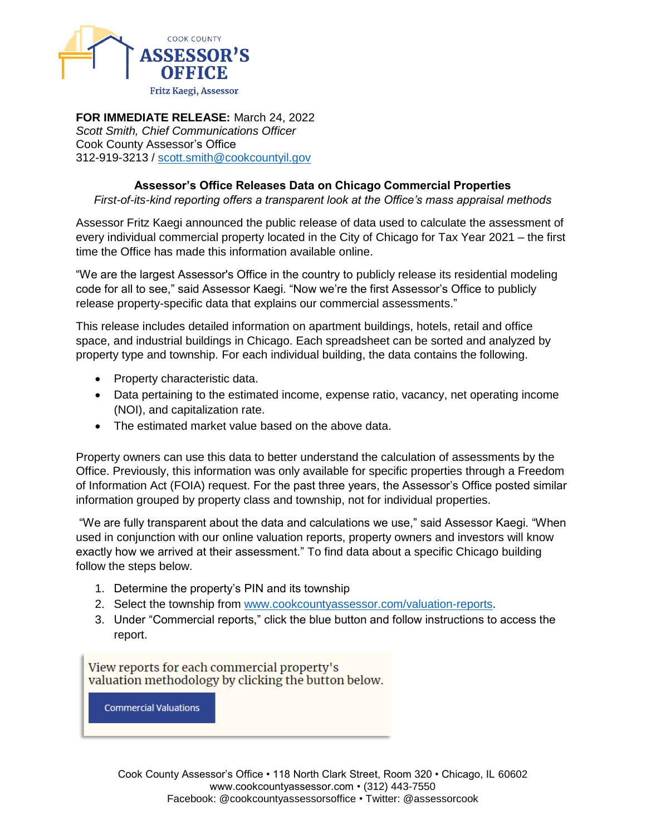

**FOR IMMEDIATE RELEASE:** March 24, 2022 *Scott Smith, Chief Communications Officer* Cook County Assessor's Office 312-919-3213 / [scott.smith@cookcountyil.gov](mailto:scott.smith@cookcountyil.gov)

## **Assessor's Office Releases Data on Chicago Commercial Properties**

*First-of-its-kind reporting offers a transparent look at the Office's mass appraisal methods*

Assessor Fritz Kaegi announced the public release of data used to calculate the assessment of every individual commercial property located in the City of Chicago for Tax Year 2021 – the first time the Office has made this information available online.

"We are the largest Assessor's Office in the country to publicly release its residential modeling code for all to see," said Assessor Kaegi. "Now we're the first Assessor's Office to publicly release property-specific data that explains our commercial assessments."

This release includes detailed information on apartment buildings, hotels, retail and office space, and industrial buildings in Chicago. Each spreadsheet can be sorted and analyzed by property type and township. For each individual building, the data contains the following.

- Property characteristic data.
- Data pertaining to the estimated income, expense ratio, vacancy, net operating income (NOI), and capitalization rate.
- The estimated market value based on the above data.

Property owners can use this data to better understand the calculation of assessments by the Office. Previously, this information was only available for specific properties through a Freedom of Information Act (FOIA) request. For the past three years, the Assessor's Office posted similar information grouped by property class and township, not for individual properties.

"We are fully transparent about the data and calculations we use," said Assessor Kaegi. "When used in conjunction with our online valuation reports, property owners and investors will know exactly how we arrived at their assessment." To find data about a specific Chicago building follow the steps below.

- 1. Determine the property's PIN and its township
- 2. Select the township from [www.cookcountyassessor.com/valuation-reports.](http://www.cookcountyassessor.com/valuation-reports)
- 3. Under "Commercial reports," click the blue button and follow instructions to access the report.

View reports for each commercial property's valuation methodology by clicking the button below.

**Commercial Valuations**